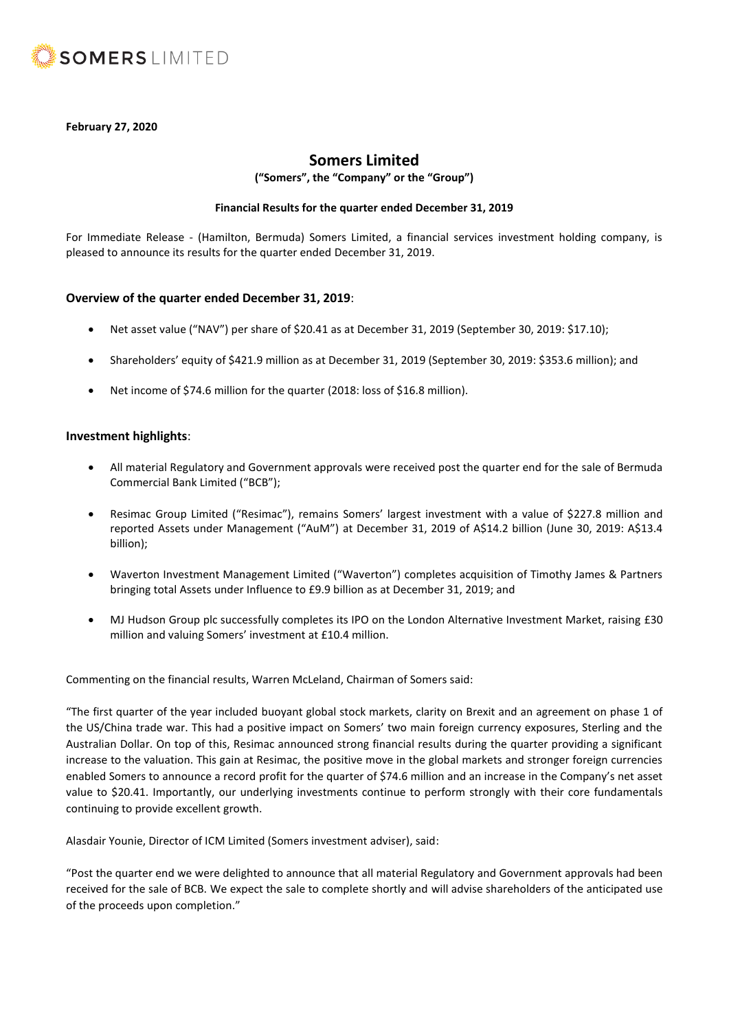

## **February 27, 2020**

# **Somers Limited**

**("Somers", the "Company" or the "Group")**

### **Financial Results for the quarter ended December 31, 2019**

For Immediate Release - (Hamilton, Bermuda) Somers Limited, a financial services investment holding company, is pleased to announce its results for the quarter ended December 31, 2019.

## **Overview of the quarter ended December 31, 2019**:

- Net asset value ("NAV") per share of \$20.41 as at December 31, 2019 (September 30, 2019: \$17.10);
- Shareholders' equity of \$421.9 million as at December 31, 2019 (September 30, 2019: \$353.6 million); and
- Net income of \$74.6 million for the quarter (2018: loss of \$16.8 million).

## **Investment highlights**:

- All material Regulatory and Government approvals were received post the quarter end for the sale of Bermuda Commercial Bank Limited ("BCB");
- Resimac Group Limited ("Resimac"), remains Somers' largest investment with a value of \$227.8 million and reported Assets under Management ("AuM") at December 31, 2019 of A\$14.2 billion (June 30, 2019: A\$13.4 billion);
- Waverton Investment Management Limited ("Waverton") completes acquisition of Timothy James & Partners bringing total Assets under Influence to £9.9 billion as at December 31, 2019; and
- MJ Hudson Group plc successfully completes its IPO on the London Alternative Investment Market, raising £30 million and valuing Somers' investment at £10.4 million.

Commenting on the financial results, Warren McLeland, Chairman of Somers said:

"The first quarter of the year included buoyant global stock markets, clarity on Brexit and an agreement on phase 1 of the US/China trade war. This had a positive impact on Somers' two main foreign currency exposures, Sterling and the Australian Dollar. On top of this, Resimac announced strong financial results during the quarter providing a significant increase to the valuation. This gain at Resimac, the positive move in the global markets and stronger foreign currencies enabled Somers to announce a record profit for the quarter of \$74.6 million and an increase in the Company's net asset value to \$20.41. Importantly, our underlying investments continue to perform strongly with their core fundamentals continuing to provide excellent growth.

Alasdair Younie, Director of ICM Limited (Somers investment adviser), said:

"Post the quarter end we were delighted to announce that all material Regulatory and Government approvals had been received for the sale of BCB. We expect the sale to complete shortly and will advise shareholders of the anticipated use of the proceeds upon completion."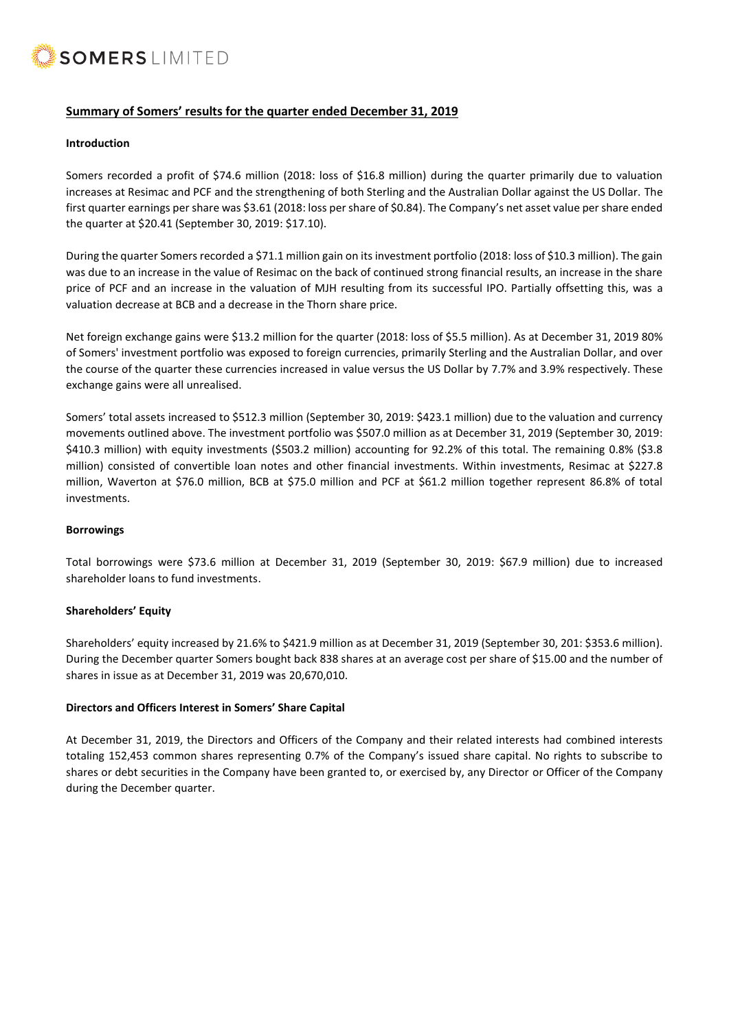

# **Summary of Somers' results for the quarter ended December 31, 2019**

#### **Introduction**

Somers recorded a profit of \$74.6 million (2018: loss of \$16.8 million) during the quarter primarily due to valuation increases at Resimac and PCF and the strengthening of both Sterling and the Australian Dollar against the US Dollar. The first quarter earnings per share was \$3.61 (2018: loss per share of \$0.84). The Company's net asset value per share ended the quarter at \$20.41 (September 30, 2019: \$17.10).

During the quarter Somers recorded a \$71.1 million gain on its investment portfolio (2018: loss of \$10.3 million). The gain was due to an increase in the value of Resimac on the back of continued strong financial results, an increase in the share price of PCF and an increase in the valuation of MJH resulting from its successful IPO. Partially offsetting this, was a valuation decrease at BCB and a decrease in the Thorn share price.

Net foreign exchange gains were \$13.2 million for the quarter (2018: loss of \$5.5 million). As at December 31, 2019 80% of Somers' investment portfolio was exposed to foreign currencies, primarily Sterling and the Australian Dollar, and over the course of the quarter these currencies increased in value versus the US Dollar by 7.7% and 3.9% respectively. These exchange gains were all unrealised.

Somers' total assets increased to \$512.3 million (September 30, 2019: \$423.1 million) due to the valuation and currency movements outlined above. The investment portfolio was \$507.0 million as at December 31, 2019 (September 30, 2019: \$410.3 million) with equity investments (\$503.2 million) accounting for 92.2% of this total. The remaining 0.8% (\$3.8 million) consisted of convertible loan notes and other financial investments. Within investments, Resimac at \$227.8 million, Waverton at \$76.0 million, BCB at \$75.0 million and PCF at \$61.2 million together represent 86.8% of total investments.

#### **Borrowings**

Total borrowings were \$73.6 million at December 31, 2019 (September 30, 2019: \$67.9 million) due to increased shareholder loans to fund investments.

## **Shareholders' Equity**

Shareholders' equity increased by 21.6% to \$421.9 million as at December 31, 2019 (September 30, 201: \$353.6 million). During the December quarter Somers bought back 838 shares at an average cost per share of \$15.00 and the number of shares in issue as at December 31, 2019 was 20,670,010.

## **Directors and Officers Interest in Somers' Share Capital**

At December 31, 2019, the Directors and Officers of the Company and their related interests had combined interests totaling 152,453 common shares representing 0.7% of the Company's issued share capital. No rights to subscribe to shares or debt securities in the Company have been granted to, or exercised by, any Director or Officer of the Company during the December quarter.